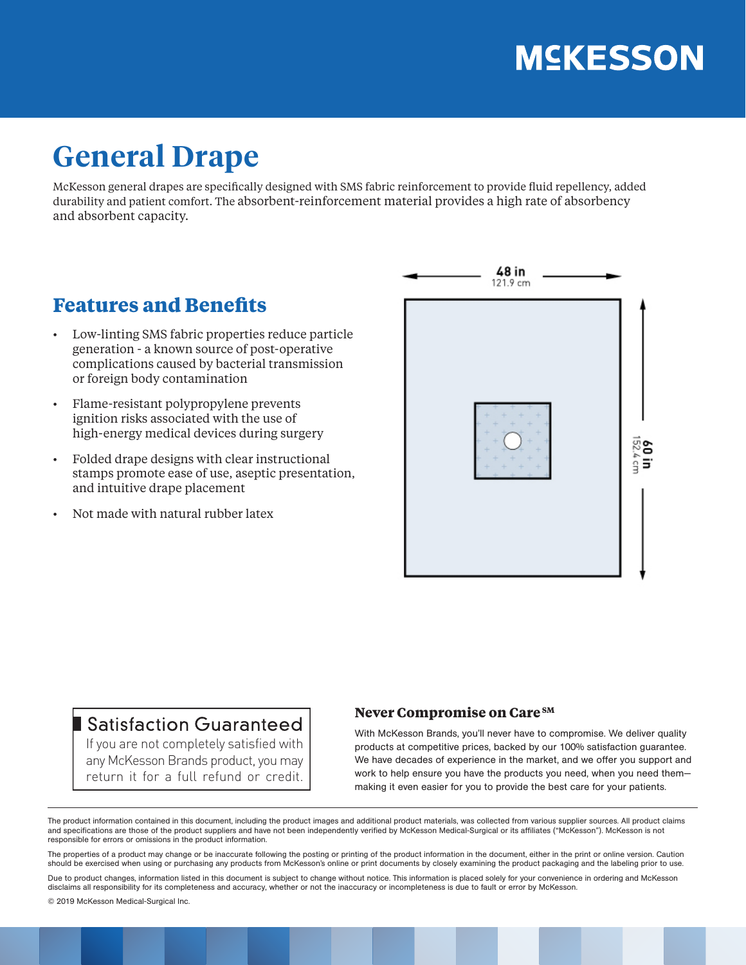# **MSKESSON**

## **General Drape**

McKesson general drapes are specifically designed with SMS fabric reinforcement to provide fluid repellency, added durability and patient comfort. The absorbent-reinforcement material provides a high rate of absorbency and absorbent capacity.

### **Features and Benefits**

- Low-linting SMS fabric properties reduce particle generation - a known source of post-operative complications caused by bacterial transmission or foreign body contamination
- Flame-resistant polypropylene prevents ignition risks associated with the use of high-energy medical devices during surgery
- Folded drape designs with clear instructional stamps promote ease of use, aseptic presentation, and intuitive drape placement
- Not made with natural rubber latex



### Satisfaction Guaranteed

If you are not completely satisfied with any McKesson Brands product, you may return it for a full refund or credit.

#### **Never Compromise on Care SM**

With McKesson Brands, you'll never have to compromise. We deliver quality products at competitive prices, backed by our 100% satisfaction guarantee. We have decades of experience in the market, and we offer you support and work to help ensure you have the products you need, when you need them making it even easier for you to provide the best care for your patients.

The product information contained in this document, including the product images and additional product materials, was collected from various supplier sources. All product claims and specifications are those of the product suppliers and have not been independently verified by McKesson Medical-Surgical or its affiliates ("McKesson"). McKesson is not responsible for errors or omissions in the product information.

The properties of a product may change or be inaccurate following the posting or printing of the product information in the document, either in the print or online version. Caution should be exercised when using or purchasing any products from McKesson's online or print documents by closely examining the product packaging and the labeling prior to use.

Due to product changes, information listed in this document is subject to change without notice. This information is placed solely for your convenience in ordering and McKesson disclaims all responsibility for its completeness and accuracy, whether or not the inaccuracy or incompleteness is due to fault or error by McKesson.

© 2019 McKesson Medical-Surgical Inc.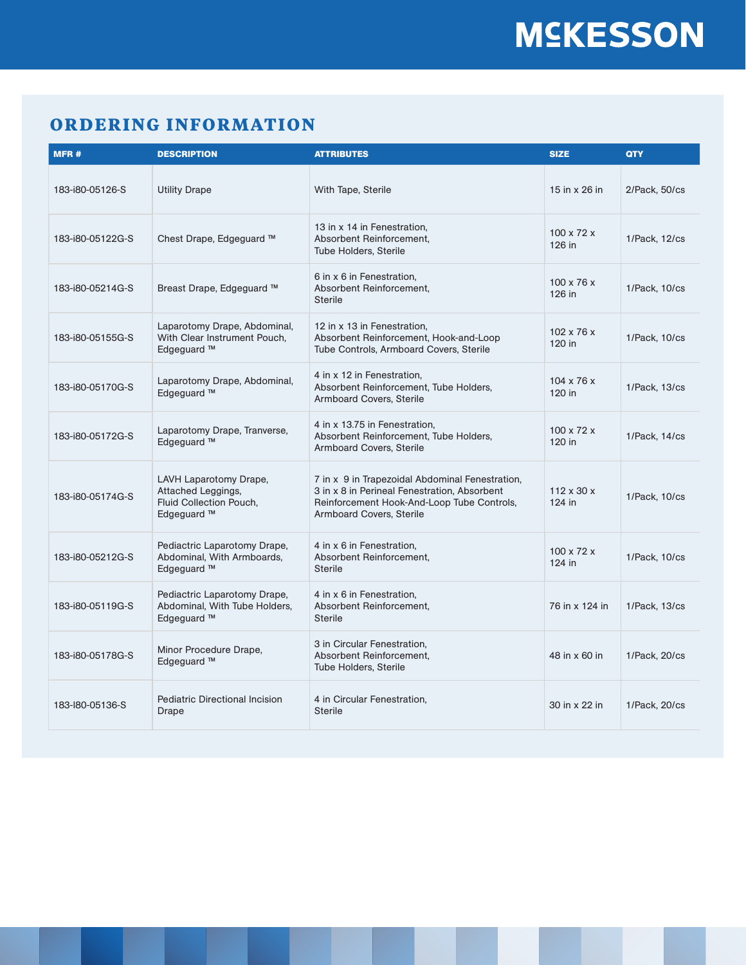### **ORDERING INFORMATION**

| MFR#             | <b>DESCRIPTION</b>                                                                                | <b>ATTRIBUTES</b>                                                                                                                                                                | <b>SIZE</b>                        | <b>QTY</b>    |
|------------------|---------------------------------------------------------------------------------------------------|----------------------------------------------------------------------------------------------------------------------------------------------------------------------------------|------------------------------------|---------------|
| 183-i80-05126-S  | <b>Utility Drape</b>                                                                              | With Tape, Sterile                                                                                                                                                               | 15 in $\times$ 26 in               | 2/Pack, 50/cs |
| 183-i80-05122G-S | Chest Drape, Edgeguard ™                                                                          | 13 in x 14 in Fenestration.<br>Absorbent Reinforcement,<br><b>Tube Holders, Sterile</b>                                                                                          | $100 \times 72 \times$<br>126 in   | 1/Pack, 12/cs |
| 183-i80-05214G-S | Breast Drape, Edgeguard ™                                                                         | 6 in x 6 in Fenestration,<br>Absorbent Reinforcement.<br><b>Sterile</b>                                                                                                          | $100 \times 76 \times$<br>126 in   | 1/Pack, 10/cs |
| 183-i80-05155G-S | Laparotomy Drape, Abdominal,<br>With Clear Instrument Pouch,<br>Edgeguard ™                       | 12 in x 13 in Fenestration.<br>Absorbent Reinforcement, Hook-and-Loop<br>Tube Controls, Armboard Covers, Sterile                                                                 | $102 \times 76 \times$<br>120 in   | 1/Pack, 10/cs |
| 183-i80-05170G-S | Laparotomy Drape, Abdominal,<br>Edgeguard ™                                                       | 4 in x 12 in Fenestration,<br>Absorbent Reinforcement, Tube Holders,<br><b>Armboard Covers, Sterile</b>                                                                          | $104 \times 76 \times$<br>120 in   | 1/Pack, 13/cs |
| 183-i80-05172G-S | Laparotomy Drape, Tranverse,<br>Edgeguard ™                                                       | 4 in x 13.75 in Fenestration.<br>Absorbent Reinforcement, Tube Holders,<br><b>Armboard Covers, Sterile</b>                                                                       | $100 \times 72 \times$<br>120 in   | 1/Pack, 14/cs |
| 183-i80-05174G-S | LAVH Laparotomy Drape,<br>Attached Leggings,<br>Fluid Collection Pouch,<br>Edgeguard <sup>™</sup> | 7 in x 9 in Trapezoidal Abdominal Fenestration,<br>3 in x 8 in Perineal Fenestration, Absorbent<br>Reinforcement Hook-And-Loop Tube Controls,<br><b>Armboard Covers, Sterile</b> | $112 \times 30 \times$<br>$124$ in | 1/Pack, 10/cs |
| 183-i80-05212G-S | Pediactric Laparotomy Drape,<br>Abdominal, With Armboards,<br>Edgeguard ™                         | 4 in x 6 in Fenestration,<br>Absorbent Reinforcement,<br><b>Sterile</b>                                                                                                          | $100 \times 72 \times$<br>124 in   | 1/Pack, 10/cs |
| 183-i80-05119G-S | Pediactric Laparotomy Drape,<br>Abdominal, With Tube Holders,<br>Edgeguard ™                      | 4 in x 6 in Fenestration,<br>Absorbent Reinforcement,<br><b>Sterile</b>                                                                                                          | 76 in x 124 in                     | 1/Pack, 13/cs |
| 183-i80-05178G-S | Minor Procedure Drape,<br>Edgeguard ™                                                             | 3 in Circular Fenestration,<br>Absorbent Reinforcement,<br>Tube Holders, Sterile                                                                                                 | 48 in x 60 in                      | 1/Pack, 20/cs |
| 183-180-05136-S  | <b>Pediatric Directional Incision</b><br>Drape                                                    | 4 in Circular Fenestration,<br><b>Sterile</b>                                                                                                                                    | 30 in x 22 in                      | 1/Pack, 20/cs |